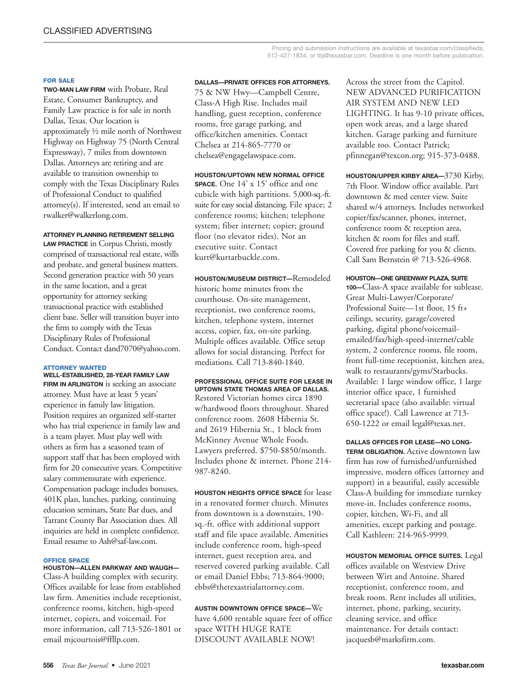#### **FOR SALE**

**TWO-MAN LAW FIRM** with Probate, Real Estate, Consumer Bankruptcy, and Family Law practice is for sale in north Dallas, Texas. Our location is approximately ½ mile north of Northwest Highway on Highway 75 (North Central Expressway), 7 miles from downtown Dallas. Attorneys are retiring and are available to transition ownership to comply with the Texas Disciplinary Rules of Professional Conduct to qualified attorney(s). If interested, send an email to rwalker@walkerlong.com.

**ATTORNEY PLANNING RETIREMENT SELLING**

**LAW PRACTICE** in Corpus Christi, mostly comprised of transactional real estate, wills and probate, and general business matters. Second generation practice with 50 years in the same location, and a great opportunity for attorney seeking transactional practice with established client base. Seller will transition buyer into the firm to comply with the Texas Disciplinary Rules of Professional Conduct. Contact dand7070@yahoo.com.

### **ATTORNEY WANTED**

**WELL-ESTABLISHED, 28-YEAR FAMILY LAW FIRM IN ARLINGTON** is seeking an associate attorney. Must have at least 5 years' experience in family law litigation. Position requires an organized self-starter who has trial experience in family law and is a team player. Must play well with others as firm has a seasoned team of support staff that has been employed with firm for 20 consecutive years. Competitive salary commensurate with experience. Compensation package includes bonuses, 401K plan, lunches, parking, continuing education seminars, State Bar dues, and Tarrant County Bar Association dues. All inquiries are held in complete confidence. Email resume to Ash@saf-law.com.

## **OFFICE SPACE**

**HOUSTON—ALLEN PARKWAY AND WAUGH—** Class-A building complex with security. Offices available for lease from established law firm. Amenities include receptionist, conference rooms, kitchen, high-speed internet, copiers, and voicemail. For more information, call 713-526-1801 or email mjcourtois@ffllp.com.

### **DALLAS—PRIVATE OFFICES FOR ATTORNEYS.**

75 & NW Hwy—Campbell Centre, Class-A High Rise. Includes mail handling, guest reception, conference rooms, free garage parking, and office/kitchen amenities. Contact Chelsea at 214-865-7770 or chelsea@engagelawspace.com.

**HOUSTON/UPTOWN NEW NORMAL OFFICE SPACE.** One 14' x 15' office and one cubicle with high partitions. 5,000-sq.-ft. suite for easy social distancing. File space; 2 conference rooms; kitchen; telephone system; fiber internet; copier; ground floor (no elevator rides). Not an executive suite. Contact kurt@kurtarbuckle.com.

**HOUSTON/MUSEUM DISTRICT—**Remodeled historic home minutes from the courthouse. On-site management, receptionist, two conference rooms, kitchen, telephone system, internet access, copier, fax, on-site parking. Multiple offices available. Office setup allows for social distancing. Perfect for mediations. Call 713-840-1840.

**PROFESSIONAL OFFICE SUITE FOR LEASE IN UPTOWN STATE THOMAS AREA OF DALLAS.** Restored Victorian homes circa 1890 w/hardwood floors throughout. Shared conference room. 2608 Hibernia St. and 2619 Hibernia St., 1 block from McKinney Avenue Whole Foods. Lawyers preferred. \$750-\$850/month. Includes phone & internet. Phone 214- 987-8240.

**HOUSTON HEIGHTS OFFICE SPACE** for lease in a renovated former church. Minutes from downtown is a downstairs, 190 sq.-ft. office with additional support staff and file space available. Amenities include conference room, high-speed internet, guest reception area, and reserved covered parking available. Call or email Daniel Ebbs; 713-864-9000; ebbs@thetexastrialattorney.com.

**AUSTIN DOWNTOWN OFFICE SPACE—**We have 4,600 rentable square feet of office space WITH HUGE RATE DISCOUNT AVAILABLE NOW!

Across the street from the Capitol. NEW ADVANCED PURIFICATION AIR SYSTEM AND NEW LED LIGHTING. It has 9-10 private offices, open work areas, and a large shared kitchen. Garage parking and furniture available too. Contact Patrick; pfinnegan@texcon.org; 915-373-0488.

**HOUSTON/UPPER KIRBY AREA—**3730 Kirby, 7th Floor. Window office available. Part downtown & med center view. Suite shared w/4 attorneys. Includes networked copier/fax/scanner, phones, internet, conference room & reception area, kitchen & room for files and staff. Covered free parking for you & clients. Call Sam Bernstein @ 713-526-4968.

**HOUSTON—ONE GREENWAY PLAZA, SUITE**

**100—**Class-A space available for sublease. Great Multi-Lawyer/Corporate/ Professional Suite—1st floor, 15 ft+ ceilings, security, garage/covered parking, digital phone/voicemailemailed/fax/high-speed-internet/cable system, 2 conference rooms, file room, front full-time receptionist, kitchen area, walk to restaurants/gyms/Starbucks. Available: 1 large window office, 1 large interior office space, 1 furnished secretarial space (also available: virtual office space!). Call Lawrence at 713- 650-1222 or email legal@texas.net.

**DALLAS OFFICES FOR LEASE—NO LONG-TERM OBLIGATION.** Active downtown law firm has row of furnished/unfurnished impressive, modern offices (attorney and support) in a beautiful, easily accessible Class-A building for immediate turnkey move-in. Includes conference rooms, copier, kitchen, Wi-Fi, and all amenities, except parking and postage. Call Kathleen: 214-965-9999.

**HOUSTON MEMORIAL OFFICE SUITES.** Legal offices available on Westview Drive between Wirt and Antoine. Shared receptionist, conference room, and break room. Rent includes all utilities, internet, phone, parking, security, cleaning service, and office maintenance. For details contact: jacquesb@marksfirm.com.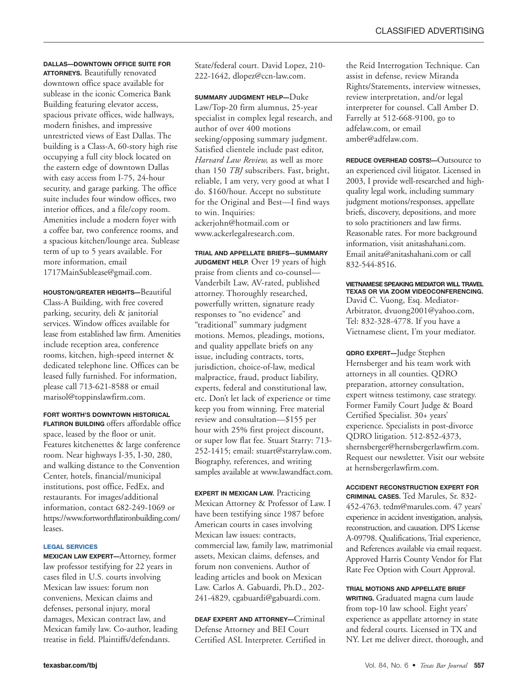## **DALLAS—DOWNTOWN OFFICE SUITE FOR**

**ATTORNEYS.** Beautifully renovated downtown office space available for sublease in the iconic Comerica Bank Building featuring elevator access, spacious private offices, wide hallways, modern finishes, and impressive unrestricted views of East Dallas. The building is a Class-A, 60-story high rise occupying a full city block located on the eastern edge of downtown Dallas with easy access from I-75, 24-hour security, and garage parking. The office suite includes four window offices, two interior offices, and a file/copy room. Amenities include a modern foyer with a coffee bar, two conference rooms, and a spacious kitchen/lounge area. Sublease term of up to 5 years available. For more information, email 1717MainSublease@gmail.com.

**HOUSTON/GREATER HEIGHTS—**Beautiful Class-A Building, with free covered parking, security, deli & janitorial services. Window offices available for lease from established law firm. Amenities include reception area, conference rooms, kitchen, high-speed internet & dedicated telephone line. Offices can be leased fully furnished. For information, please call 713-621-8588 or email marisol@toppinslawfirm.com.

## **FORT WORTH'S DOWNTOWN HISTORICAL**

**FLATIRON BUILDING** offers affordable office space, leased by the floor or unit. Features kitchenettes & large conference room. Near highways I-35, I-30, 280, and walking distance to the Convention Center, hotels, financial/municipal institutions, post office, FedEx, and restaurants. For images/additional information, contact 682-249-1069 or https://www.fortworthflatironbuilding.com/ leases.

## **LEGAL SERVICES**

**MEXICAN LAW EXPERT—**Attorney, former law professor testifying for 22 years in cases filed in U.S. courts involving Mexican law issues: forum non conveniens, Mexican claims and defenses, personal injury, moral damages, Mexican contract law, and Mexican family law. Co-author, leading treatise in field. Plaintiffs/defendants.

State/federal court. David Lopez, 210- 222-1642, dlopez@ccn-law.com.

**SUMMARY JUDGMENT HELP—**Duke Law/Top-20 firm alumnus, 25-year specialist in complex legal research, and author of over 400 motions seeking/opposing summary judgment. Satisfied clientele include past editor, *Harvard Law Review,* as well as more than 150 *TBJ* subscribers. Fast, bright, reliable, I am very, very good at what I do. \$160/hour. Accept no substitute for the Original and Best—I find ways to win. Inquiries: ackerjohn@hotmail.com or www.ackerlegalresearch.com.

**TRIAL AND APPELLATE BRIEFS—SUMMARY JUDGMENT HELP.** Over 19 years of high praise from clients and co-counsel— Vanderbilt Law, AV-rated, published attorney. Thoroughly researched, powerfully written, signature ready responses to "no evidence" and "traditional" summary judgment motions. Memos, pleadings, motions, and quality appellate briefs on any issue, including contracts, torts, jurisdiction, choice-of-law, medical malpractice, fraud, product liability, experts, federal and constitutional law, etc. Don't let lack of experience or time keep you from winning. Free material review and consultation—\$155 per hour with 25% first project discount, or super low flat fee. Stuart Starry: 713- 252-1415; email: stuart@starrylaw.com. Biography, references, and writing samples available at www.lawandfact.com.

**EXPERT IN MEXICAN LAW.** Practicing Mexican Attorney & Professor of Law. I have been testifying since 1987 before American courts in cases involving Mexican law issues: contracts, commercial law, family law, matrimonial assets, Mexican claims, defenses, and forum non conveniens. Author of leading articles and book on Mexican Law. Carlos A. Gabuardi, Ph.D., 202- 241-4829, cgabuardi@gabuardi.com.

**DEAF EXPERT AND ATTORNEY—**Criminal Defense Attorney and BEI Court Certified ASL Interpreter. Certified in

the Reid Interrogation Technique. Can assist in defense, review Miranda Rights/Statements, interview witnesses, review interpretation, and/or legal interpreter for counsel. Call Amber D. Farrelly at 512-668-9100, go to adfelaw.com, or email amber@adfelaw.com.

**REDUCE OVERHEAD COSTS!—**Outsource to an experienced civil litigator. Licensed in 2003, I provide well-researched and highquality legal work, including summary judgment motions/responses, appellate briefs, discovery, depositions, and more to solo practitioners and law firms. Reasonable rates. For more background information, visit anitashahani.com. Email anita@anitashahani.com or call 832-544-8516.

**VIETNAMESE SPEAKING MEDIATOR WILL TRAVEL TEXAS OR VIA ZOOM VIDEOCONFERENCING.** David C. Vuong, Esq. Mediator-Arbitrator, dvuong2001@yahoo.com, Tel: 832-328-4778. If you have a Vietnamese client, I'm your mediator.

**QDRO EXPERT—**Judge Stephen Hernsberger and his team work with attorneys in all counties. QDRO preparation, attorney consultation, expert witness testimony, case strategy. Former Family Court Judge & Board Certified Specialist. 30+ years' experience. Specialists in post-divorce QDRO litigation. 512-852-4373, shernsberger@hernsbergerlawfirm.com. Request our newsletter. Visit our website at hernsbergerlawfirm.com.

**ACCIDENT RECONSTRUCTION EXPERT FOR CRIMINAL CASES.** Ted Marules, Sr. 832- 452-4763. tedm@marules.com. 47 years' experience in accident investigation, analysis, reconstruction, and causation. DPS License A-09798. Qualifications, Trial experience, and References available via email request. Approved Harris County Vendor for Flat Rate Fee Option with Court Approval.

**TRIAL MOTIONS AND APPELLATE BRIEF**

**WRITING.** Graduated magna cum laude from top-10 law school. Eight years' experience as appellate attorney in state and federal courts. Licensed in TX and NY. Let me deliver direct, thorough, and